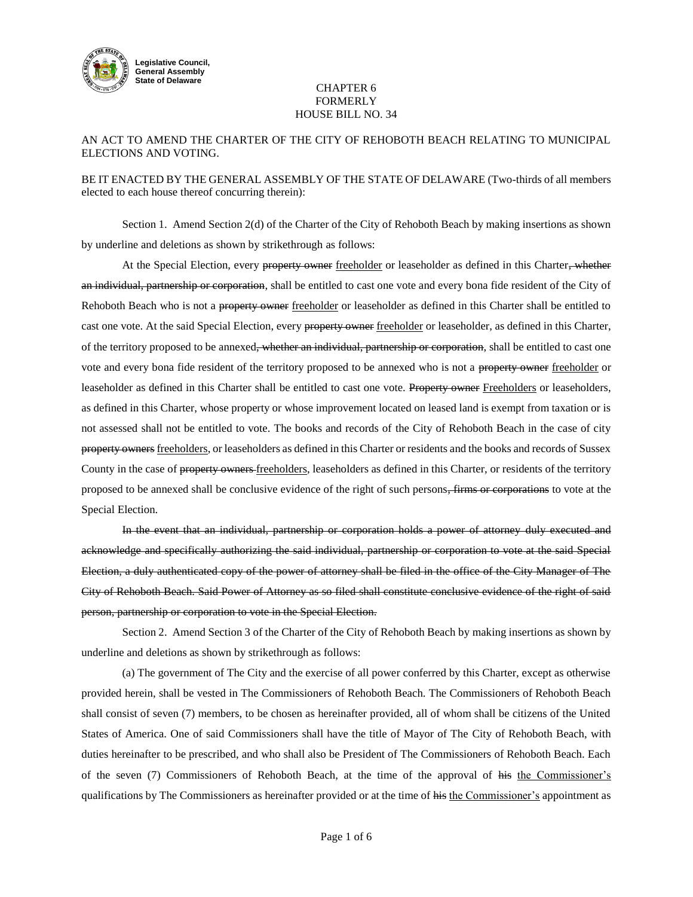

### CHAPTER 6 FORMERLY HOUSE BILL NO. 34

# AN ACT TO AMEND THE CHARTER OF THE CITY OF REHOBOTH BEACH RELATING TO MUNICIPAL ELECTIONS AND VOTING.

## BE IT ENACTED BY THE GENERAL ASSEMBLY OF THE STATE OF DELAWARE (Two-thirds of all members elected to each house thereof concurring therein):

Section 1. Amend Section 2(d) of the Charter of the City of Rehoboth Beach by making insertions as shown by underline and deletions as shown by strikethrough as follows:

At the Special Election, every property owner freeholder or leaseholder as defined in this Charter, whether an individual, partnership or corporation, shall be entitled to cast one vote and every bona fide resident of the City of Rehoboth Beach who is not a property owner freeholder or leaseholder as defined in this Charter shall be entitled to cast one vote. At the said Special Election, every property owner freeholder or leaseholder, as defined in this Charter, of the territory proposed to be annexed<del>, whether an individual, partnership or corporation</del>, shall be entitled to cast one vote and every bona fide resident of the territory proposed to be annexed who is not a property owner freeholder or leaseholder as defined in this Charter shall be entitled to cast one vote. Property owner Freeholders or leaseholders, as defined in this Charter, whose property or whose improvement located on leased land is exempt from taxation or is not assessed shall not be entitled to vote. The books and records of the City of Rehoboth Beach in the case of city property owners freeholders, or leaseholders as defined in this Charter or residents and the books and records of Sussex County in the case of property owners-freeholders, leaseholders as defined in this Charter, or residents of the territory proposed to be annexed shall be conclusive evidence of the right of such persons, firms or corporations to vote at the Special Election.

In the event that an individual, partnership or corporation holds a power of attorney duly executed and acknowledge and specifically authorizing the said individual, partnership or corporation to vote at the said Special Election, a duly authenticated copy of the power of attorney shall be filed in the office of the City Manager of The City of Rehoboth Beach. Said Power of Attorney as so filed shall constitute conclusive evidence of the right of said person, partnership or corporation to vote in the Special Election.

Section 2. Amend Section 3 of the Charter of the City of Rehoboth Beach by making insertions as shown by underline and deletions as shown by strikethrough as follows:

(a) The government of The City and the exercise of all power conferred by this Charter, except as otherwise provided herein, shall be vested in The Commissioners of Rehoboth Beach. The Commissioners of Rehoboth Beach shall consist of seven (7) members, to be chosen as hereinafter provided, all of whom shall be citizens of the United States of America. One of said Commissioners shall have the title of Mayor of The City of Rehoboth Beach, with duties hereinafter to be prescribed, and who shall also be President of The Commissioners of Rehoboth Beach. Each of the seven (7) Commissioners of Rehoboth Beach, at the time of the approval of his the Commissioner's qualifications by The Commissioners as hereinafter provided or at the time of his the Commissioner's appointment as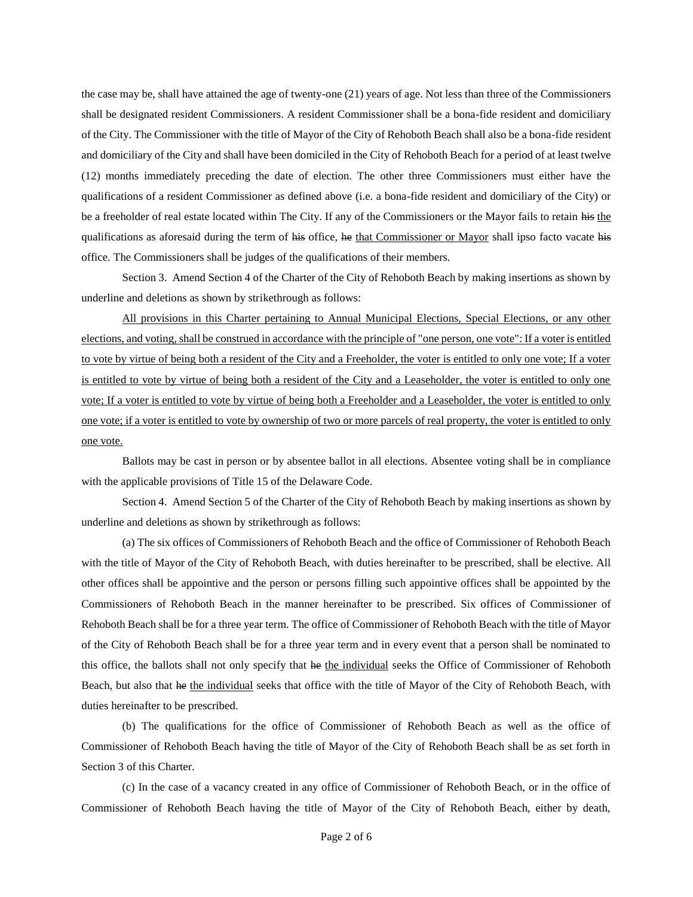the case may be, shall have attained the age of twenty-one (21) years of age. Not less than three of the Commissioners shall be designated resident Commissioners. A resident Commissioner shall be a bona-fide resident and domiciliary of the City. The Commissioner with the title of Mayor of the City of Rehoboth Beach shall also be a bona-fide resident and domiciliary of the City and shall have been domiciled in the City of Rehoboth Beach for a period of at least twelve (12) months immediately preceding the date of election. The other three Commissioners must either have the qualifications of a resident Commissioner as defined above (i.e. a bona-fide resident and domiciliary of the City) or be a freeholder of real estate located within The City. If any of the Commissioners or the Mayor fails to retain his the qualifications as aforesaid during the term of his office, he that Commissioner or Mayor shall ipso facto vacate his office. The Commissioners shall be judges of the qualifications of their members.

Section 3. Amend Section 4 of the Charter of the City of Rehoboth Beach by making insertions as shown by underline and deletions as shown by strikethrough as follows:

All provisions in this Charter pertaining to Annual Municipal Elections, Special Elections, or any other elections, and voting, shall be construed in accordance with the principle of "one person, one vote": If a voter is entitled to vote by virtue of being both a resident of the City and a Freeholder, the voter is entitled to only one vote; If a voter is entitled to vote by virtue of being both a resident of the City and a Leaseholder, the voter is entitled to only one vote; If a voter is entitled to vote by virtue of being both a Freeholder and a Leaseholder, the voter is entitled to only one vote; if a voter is entitled to vote by ownership of two or more parcels of real property, the voter is entitled to only one vote.

Ballots may be cast in person or by absentee ballot in all elections. Absentee voting shall be in compliance with the applicable provisions of Title 15 of the Delaware Code.

Section 4. Amend Section 5 of the Charter of the City of Rehoboth Beach by making insertions as shown by underline and deletions as shown by strikethrough as follows:

(a) The six offices of Commissioners of Rehoboth Beach and the office of Commissioner of Rehoboth Beach with the title of Mayor of the City of Rehoboth Beach, with duties hereinafter to be prescribed, shall be elective. All other offices shall be appointive and the person or persons filling such appointive offices shall be appointed by the Commissioners of Rehoboth Beach in the manner hereinafter to be prescribed. Six offices of Commissioner of Rehoboth Beach shall be for a three year term. The office of Commissioner of Rehoboth Beach with the title of Mayor of the City of Rehoboth Beach shall be for a three year term and in every event that a person shall be nominated to this office, the ballots shall not only specify that he the individual seeks the Office of Commissioner of Rehoboth Beach, but also that he the individual seeks that office with the title of Mayor of the City of Rehoboth Beach, with duties hereinafter to be prescribed.

(b) The qualifications for the office of Commissioner of Rehoboth Beach as well as the office of Commissioner of Rehoboth Beach having the title of Mayor of the City of Rehoboth Beach shall be as set forth in Section 3 of this Charter.

(c) In the case of a vacancy created in any office of Commissioner of Rehoboth Beach, or in the office of Commissioner of Rehoboth Beach having the title of Mayor of the City of Rehoboth Beach, either by death,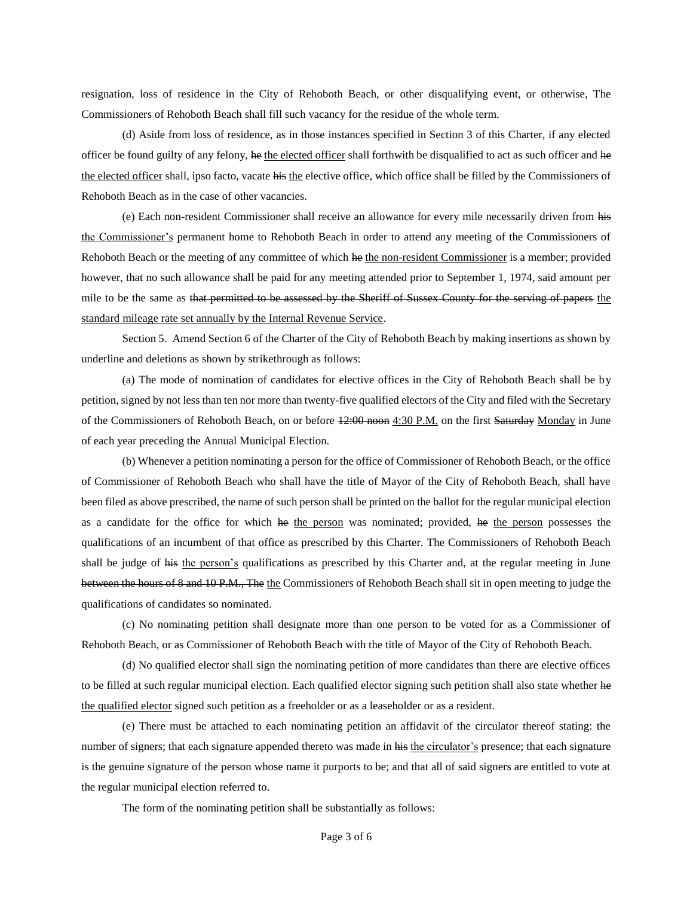resignation, loss of residence in the City of Rehoboth Beach, or other disqualifying event, or otherwise, The Commissioners of Rehoboth Beach shall fill such vacancy for the residue of the whole term.

(d) Aside from loss of residence, as in those instances specified in Section 3 of this Charter, if any elected officer be found guilty of any felony, he the elected officer shall forthwith be disqualified to act as such officer and he the elected officer shall, ipso facto, vacate his the elective office, which office shall be filled by the Commissioners of Rehoboth Beach as in the case of other vacancies.

(e) Each non-resident Commissioner shall receive an allowance for every mile necessarily driven from his the Commissioner's permanent home to Rehoboth Beach in order to attend any meeting of the Commissioners of Rehoboth Beach or the meeting of any committee of which he the non-resident Commissioner is a member; provided however, that no such allowance shall be paid for any meeting attended prior to September 1, 1974, said amount per mile to be the same as that permitted to be assessed by the Sheriff of Sussex County for the serving of papers the standard mileage rate set annually by the Internal Revenue Service.

Section 5. Amend Section 6 of the Charter of the City of Rehoboth Beach by making insertions as shown by underline and deletions as shown by strikethrough as follows:

(a) The mode of nomination of candidates for elective offices in the City of Rehoboth Beach shall be by petition, signed by not less than ten nor more than twenty-five qualified electors of the City and filed with the Secretary of the Commissioners of Rehoboth Beach, on or before  $12:00 \text{ room } 4:30 \text{ PM}$  on the first Saturday Monday in June of each year preceding the Annual Municipal Election.

(b) Whenever a petition nominating a person for the office of Commissioner of Rehoboth Beach, or the office of Commissioner of Rehoboth Beach who shall have the title of Mayor of the City of Rehoboth Beach, shall have been filed as above prescribed, the name of such person shall be printed on the ballot for the regular municipal election as a candidate for the office for which he the person was nominated; provided, he the person possesses the qualifications of an incumbent of that office as prescribed by this Charter. The Commissioners of Rehoboth Beach shall be judge of his the person's qualifications as prescribed by this Charter and, at the regular meeting in June between the hours of 8 and 10 P.M., The the Commissioners of Rehoboth Beach shall sit in open meeting to judge the qualifications of candidates so nominated.

(c) No nominating petition shall designate more than one person to be voted for as a Commissioner of Rehoboth Beach, or as Commissioner of Rehoboth Beach with the title of Mayor of the City of Rehoboth Beach.

(d) No qualified elector shall sign the nominating petition of more candidates than there are elective offices to be filled at such regular municipal election. Each qualified elector signing such petition shall also state whether he the qualified elector signed such petition as a freeholder or as a leaseholder or as a resident.

(e) There must be attached to each nominating petition an affidavit of the circulator thereof stating: the number of signers; that each signature appended thereto was made in his the circulator's presence; that each signature is the genuine signature of the person whose name it purports to be; and that all of said signers are entitled to vote at the regular municipal election referred to.

The form of the nominating petition shall be substantially as follows: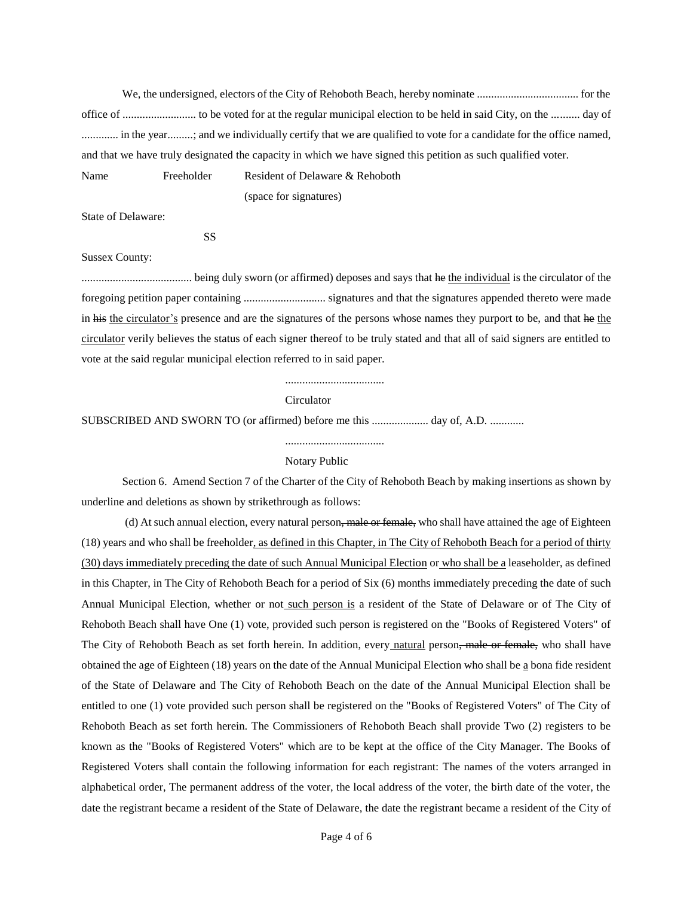We, the undersigned, electors of the City of Rehoboth Beach, hereby nominate .................................... for the office of .......................... to be voted for at the regular municipal election to be held in said City, on the .......... day of ............. in the year.........; and we individually certify that we are qualified to vote for a candidate for the office named, and that we have truly designated the capacity in which we have signed this petition as such qualified voter. Name Freeholder Resident of Delaware & Rehoboth

(space for signatures)

State of Delaware:

SS

#### Sussex County:

....................................... being duly sworn (or affirmed) deposes and says that he the individual is the circulator of the foregoing petition paper containing ............................. signatures and that the signatures appended thereto were made in his the circulator's presence and are the signatures of the persons whose names they purport to be, and that he the circulator verily believes the status of each signer thereof to be truly stated and that all of said signers are entitled to vote at the said regular municipal election referred to in said paper.

...................................

#### **Circulator**

SUBSCRIBED AND SWORN TO (or affirmed) before me this .................... day of, A.D. ............

### ...................................

### Notary Public

Section 6. Amend Section 7 of the Charter of the City of Rehoboth Beach by making insertions as shown by underline and deletions as shown by strikethrough as follows:

(d) At such annual election, every natural person, male or female, who shall have attained the age of Eighteen (18) years and who shall be freeholder, as defined in this Chapter, in The City of Rehoboth Beach for a period of thirty (30) days immediately preceding the date of such Annual Municipal Election or who shall be a leaseholder, as defined in this Chapter, in The City of Rehoboth Beach for a period of Six (6) months immediately preceding the date of such Annual Municipal Election, whether or not such person is a resident of the State of Delaware or of The City of Rehoboth Beach shall have One (1) vote, provided such person is registered on the "Books of Registered Voters" of The City of Rehoboth Beach as set forth herein. In addition, every natural person, male or female, who shall have obtained the age of Eighteen (18) years on the date of the Annual Municipal Election who shall be a bona fide resident of the State of Delaware and The City of Rehoboth Beach on the date of the Annual Municipal Election shall be entitled to one (1) vote provided such person shall be registered on the "Books of Registered Voters" of The City of Rehoboth Beach as set forth herein. The Commissioners of Rehoboth Beach shall provide Two (2) registers to be known as the "Books of Registered Voters" which are to be kept at the office of the City Manager. The Books of Registered Voters shall contain the following information for each registrant: The names of the voters arranged in alphabetical order, The permanent address of the voter, the local address of the voter, the birth date of the voter, the date the registrant became a resident of the State of Delaware, the date the registrant became a resident of the City of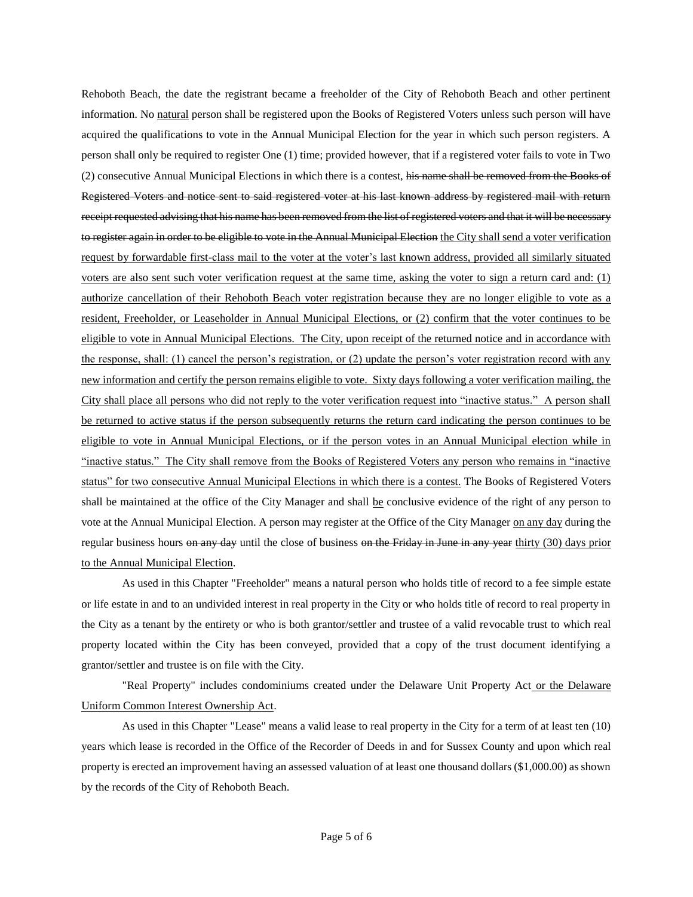Rehoboth Beach, the date the registrant became a freeholder of the City of Rehoboth Beach and other pertinent information. No natural person shall be registered upon the Books of Registered Voters unless such person will have acquired the qualifications to vote in the Annual Municipal Election for the year in which such person registers. A person shall only be required to register One (1) time; provided however, that if a registered voter fails to vote in Two (2) consecutive Annual Municipal Elections in which there is a contest, his name shall be removed from the Books of Registered Voters and notice sent to said registered voter at his last known address by registered mail with return receipt requested advising that his name has been removed from the list of registered voters and that it will be necessary to register again in order to be eligible to vote in the Annual Municipal Election the City shall send a voter verification request by forwardable first-class mail to the voter at the voter's last known address, provided all similarly situated voters are also sent such voter verification request at the same time, asking the voter to sign a return card and: (1) authorize cancellation of their Rehoboth Beach voter registration because they are no longer eligible to vote as a resident, Freeholder, or Leaseholder in Annual Municipal Elections, or (2) confirm that the voter continues to be eligible to vote in Annual Municipal Elections. The City, upon receipt of the returned notice and in accordance with the response, shall: (1) cancel the person's registration, or (2) update the person's voter registration record with any new information and certify the person remains eligible to vote. Sixty days following a voter verification mailing, the City shall place all persons who did not reply to the voter verification request into "inactive status." A person shall be returned to active status if the person subsequently returns the return card indicating the person continues to be eligible to vote in Annual Municipal Elections, or if the person votes in an Annual Municipal election while in "inactive status." The City shall remove from the Books of Registered Voters any person who remains in "inactive status" for two consecutive Annual Municipal Elections in which there is a contest. The Books of Registered Voters shall be maintained at the office of the City Manager and shall be conclusive evidence of the right of any person to vote at the Annual Municipal Election. A person may register at the Office of the City Manager on any day during the regular business hours on any day until the close of business on the Friday in June in any year thirty (30) days prior to the Annual Municipal Election.

As used in this Chapter "Freeholder" means a natural person who holds title of record to a fee simple estate or life estate in and to an undivided interest in real property in the City or who holds title of record to real property in the City as a tenant by the entirety or who is both grantor/settler and trustee of a valid revocable trust to which real property located within the City has been conveyed, provided that a copy of the trust document identifying a grantor/settler and trustee is on file with the City.

"Real Property" includes condominiums created under the Delaware Unit Property Act or the Delaware Uniform Common Interest Ownership Act.

As used in this Chapter "Lease" means a valid lease to real property in the City for a term of at least ten (10) years which lease is recorded in the Office of the Recorder of Deeds in and for Sussex County and upon which real property is erected an improvement having an assessed valuation of at least one thousand dollars (\$1,000.00) as shown by the records of the City of Rehoboth Beach.